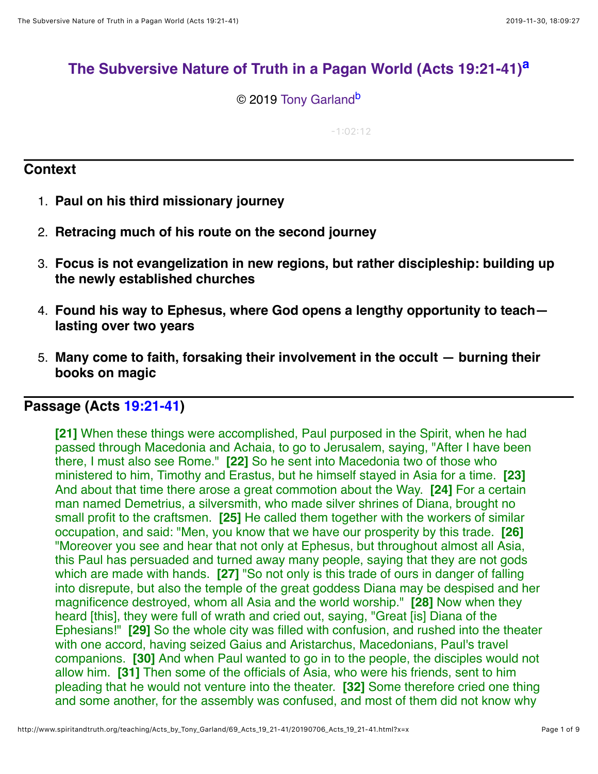# **[The Subversive Nature of Truth in a Pagan World \(Acts 19:21-41\)](http://www.spiritandtruth.org/teaching/Acts_by_Tony_Garland/69_Acts_19_21-41/index.htm)[a](#page-8-0)**

© 2019 [Tony Garland](http://www.spiritandtruth.org/id/tg.htm)<sup>[b](#page-8-1)</sup>

<span id="page-0-1"></span><span id="page-0-0"></span> $-1:02:12$ 

## **Context**

- 1. **Paul on his third missionary journey**
- 2. **Retracing much of his route on the second journey**
- 3. **Focus is not evangelization in new regions, but rather discipleship: building up the newly established churches**
- 4. **Found his way to Ephesus, where God opens a lengthy opportunity to teach lasting over two years**
- 5. **Many come to faith, forsaking their involvement in the occult burning their books on magic**

## **Passage (Acts [19:21-41](http://www.spiritandtruth.org/bibles/nasb/b44c019.htm#Acts_C19V21))**

**[21]** When these things were accomplished, Paul purposed in the Spirit, when he had passed through Macedonia and Achaia, to go to Jerusalem, saying, "After I have been there, I must also see Rome." **[22]** So he sent into Macedonia two of those who ministered to him, Timothy and Erastus, but he himself stayed in Asia for a time. **[23]** And about that time there arose a great commotion about the Way. **[24]** For a certain man named Demetrius, a silversmith, who made silver shrines of Diana, brought no small profit to the craftsmen. **[25]** He called them together with the workers of similar occupation, and said: "Men, you know that we have our prosperity by this trade. **[26]** "Moreover you see and hear that not only at Ephesus, but throughout almost all Asia, this Paul has persuaded and turned away many people, saying that they are not gods which are made with hands. **[27]** "So not only is this trade of ours in danger of falling into disrepute, but also the temple of the great goddess Diana may be despised and her magnificence destroyed, whom all Asia and the world worship." **[28]** Now when they heard [this], they were full of wrath and cried out, saying, "Great [is] Diana of the Ephesians!" **[29]** So the whole city was filled with confusion, and rushed into the theater with one accord, having seized Gaius and Aristarchus, Macedonians, Paul's travel companions. **[30]** And when Paul wanted to go in to the people, the disciples would not allow him. **[31]** Then some of the officials of Asia, who were his friends, sent to him pleading that he would not venture into the theater. **[32]** Some therefore cried one thing and some another, for the assembly was confused, and most of them did not know why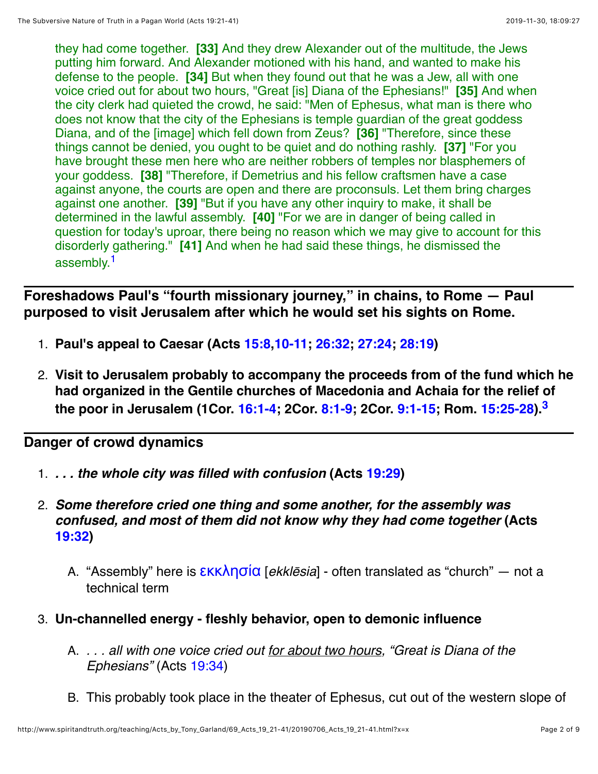they had come together. **[33]** And they drew Alexander out of the multitude, the Jews putting him forward. And Alexander motioned with his hand, and wanted to make his defense to the people. **[34]** But when they found out that he was a Jew, all with one voice cried out for about two hours, "Great [is] Diana of the Ephesians!" **[35]** And when the city clerk had quieted the crowd, he said: "Men of Ephesus, what man is there who does not know that the city of the Ephesians is temple guardian of the great goddess Diana, and of the [image] which fell down from Zeus? **[36]** "Therefore, since these things cannot be denied, you ought to be quiet and do nothing rashly. **[37]** "For you have brought these men here who are neither robbers of temples nor blasphemers of your goddess. **[38]** "Therefore, if Demetrius and his fellow craftsmen have a case against anyone, the courts are open and there are proconsuls. Let them bring charges against one another. **[39]** "But if you have any other inquiry to make, it shall be determined in the lawful assembly. **[40]** "For we are in danger of being called in question for today's uproar, there being no reason which we may give to account for this disorderly gathering." **[41]** And when he had said these things, he dismissed the assembly.<sup>1</sup>

<span id="page-1-0"></span>**Foreshadows Paul's "fourth missionary journey," in chains, to Rome — Paul purposed to visit Jerusalem after which he would set his sights on Rome.**

- 1. **Paul's appeal to Caesar (Acts [15:8](http://www.spiritandtruth.org/bibles/nasb/b44c015.htm#Acts_C15V8)[,10-11](http://www.spiritandtruth.org/bibles/nasb/b44c015.htm#Acts_C15V10); [26:32](http://www.spiritandtruth.org/bibles/nasb/b44c026.htm#Acts_C26V32); [27:24](http://www.spiritandtruth.org/bibles/nasb/b44c027.htm#Acts_C27V24); [28:19](http://www.spiritandtruth.org/bibles/nasb/b44c028.htm#Acts_C28V19))**
- <span id="page-1-1"></span>2. **Visit to Jerusalem probably to accompany the proceeds from of the fund which he had organized in the Gentile churches of Macedonia and Achaia for the relief of the poor in Jerusalem (1Cor. [16:1-4](http://www.spiritandtruth.org/bibles/nasb/b46c016.htm#1Cor._C16V1); 2Cor. [8:1-9;](http://www.spiritandtruth.org/bibles/nasb/b47c008.htm#2Cor._C8V1) 2Cor. [9:1-15](http://www.spiritandtruth.org/bibles/nasb/b47c009.htm#2Cor._C9V1); Rom. [15:25-28\)](http://www.spiritandtruth.org/bibles/nasb/b45c015.htm#Rom._C15V25)[.3](#page-7-1)**

## **Danger of crowd dynamics**

- 1. *. . . the whole city was filled with confusion* **(Acts [19:29](http://www.spiritandtruth.org/bibles/nasb/b44c019.htm#Acts_C19V29))**
- 2. *Some therefore cried one thing and some another, for the assembly was confused, and most of them did not know why they had come together* **(Acts [19:32](http://www.spiritandtruth.org/bibles/nasb/b44c019.htm#Acts_C19V32))**
	- A. "Assembly" here is [εκκλησία](http://www.spiritandtruth.org/fontsu/index.htm) [*ekkl*ē*sia*] often translated as "church" not a technical term
- 3. **Un-channelled energy fleshly behavior, open to demonic influence**
	- A. *. . . all with one voice cried out for about two hours, "Great is Diana of the Ephesians"* (Acts [19:34](http://www.spiritandtruth.org/bibles/nasb/b44c019.htm#Acts_C19V34))
	- B. This probably took place in the theater of Ephesus, cut out of the western slope of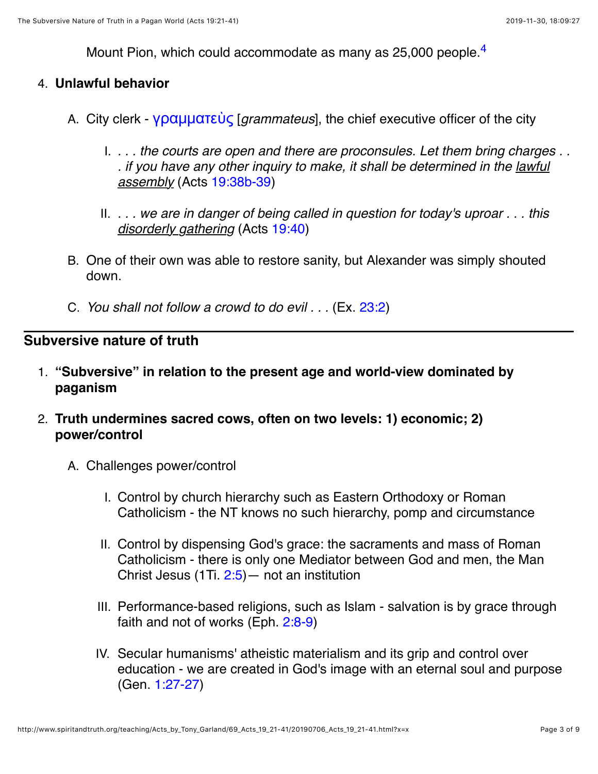<span id="page-2-0"></span>Mount Pion, which could accommodate as many as 25,000 people.<sup>4</sup>

### 4. **Unlawful behavior**

- A. City clerk [γραμματεὺς](http://www.spiritandtruth.org/fontsu/index.htm) [*grammateus*], the chief executive officer of the city
	- I. *. . . the courts are open and there are proconsules. Let them bring charges . . . if you have any other inquiry to make, it shall be determined in the lawful assembly* (Acts [19:38b-39\)](http://www.spiritandtruth.org/bibles/nasb/b44c019.htm#Acts_C19V38)
	- II. *. . . we are in danger of being called in question for today's uproar . . . this disorderly gathering* (Acts [19:40](http://www.spiritandtruth.org/bibles/nasb/b44c019.htm#Acts_C19V40))
- B. One of their own was able to restore sanity, but Alexander was simply shouted down.
- C. *You shall not follow a crowd to do evil . . .* (Ex. [23:2\)](http://www.spiritandtruth.org/bibles/nasb/b02c023.htm#Ex._C23V2)

## **Subversive nature of truth**

- 1. **"Subversive" in relation to the present age and world-view dominated by paganism**
- 2. **Truth undermines sacred cows, often on two levels: 1) economic; 2) power/control**
	- A. Challenges power/control
		- I. Control by church hierarchy such as Eastern Orthodoxy or Roman Catholicism - the NT knows no such hierarchy, pomp and circumstance
		- II. Control by dispensing God's grace: the sacraments and mass of Roman Catholicism - there is only one Mediator between God and men, the Man Christ Jesus (1Ti. [2:5](http://www.spiritandtruth.org/bibles/nasb/b54c002.htm#1Ti._C2V5))— not an institution
		- III. Performance-based religions, such as Islam salvation is by grace through faith and not of works (Eph. [2:8-9\)](http://www.spiritandtruth.org/bibles/nasb/b49c002.htm#Eph._C2V8)
		- IV. Secular humanisms' atheistic materialism and its grip and control over education - we are created in God's image with an eternal soul and purpose (Gen. [1:27-27](http://www.spiritandtruth.org/bibles/nasb/b01c001.htm#Gen._C1V27))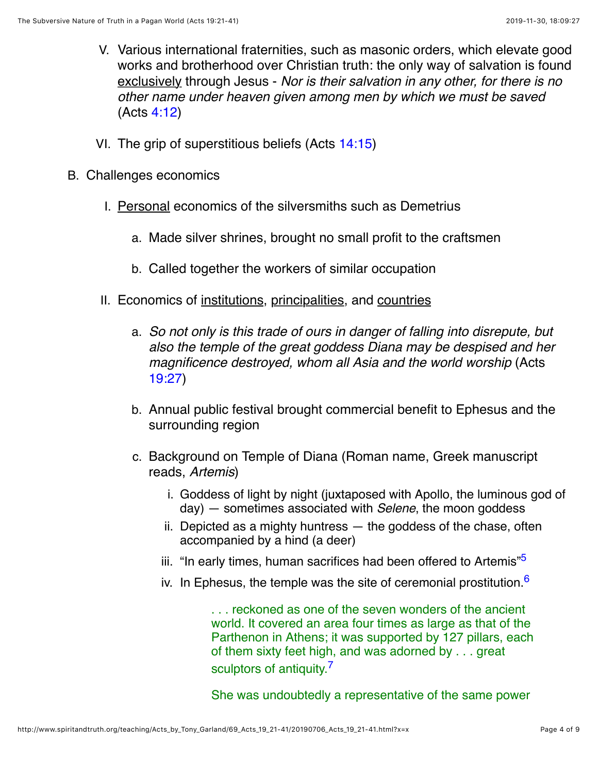- V. Various international fraternities, such as masonic orders, which elevate good works and brotherhood over Christian truth: the only way of salvation is found exclusively through Jesus - *Nor is their salvation in any other, for there is no other name under heaven given among men by which we must be saved* (Acts [4:12\)](http://www.spiritandtruth.org/bibles/nasb/b44c004.htm#Acts_C4V12)
- VI. The grip of superstitious beliefs (Acts [14:15](http://www.spiritandtruth.org/bibles/nasb/b44c014.htm#Acts_C14V15))
- B. Challenges economics
	- I. Personal economics of the silversmiths such as Demetrius
		- a. Made silver shrines, brought no small profit to the craftsmen
		- b. Called together the workers of similar occupation
	- II. Economics of institutions, principalities, and countries
		- a. *So not only is this trade of ours in danger of falling into disrepute, but also the temple of the great goddess Diana may be despised and her magnificence destroyed, whom all Asia and the world worship* (Acts [19:27](http://www.spiritandtruth.org/bibles/nasb/b44c019.htm#Acts_C19V27))
		- b. Annual public festival brought commercial benefit to Ephesus and the surrounding region
		- c. Background on Temple of Diana (Roman name, Greek manuscript reads, *Artemis*)
			- i. Goddess of light by night (juxtaposed with Apollo, the luminous god of day) — sometimes associated with *Selene*, the moon goddess
			- ii. Depicted as a mighty huntress the goddess of the chase, often accompanied by a hind (a deer)
			- iii. "In early times, human sacrifices had been offered to Artemis"<sup>5</sup>
			- iv. In Ephesus, the temple was the site of ceremonial prostitution  $6$

<span id="page-3-1"></span><span id="page-3-0"></span>. . . reckoned as one of the seven wonders of the ancient world. It covered an area four times as large as that of the Parthenon in Athens; it was supported by 127 pillars, each of them sixty feet high, and was adorned by . . . great sculptors of antiquity.<sup>[7](#page-7-5)</sup>

<span id="page-3-2"></span>She was undoubtedly a representative of the same power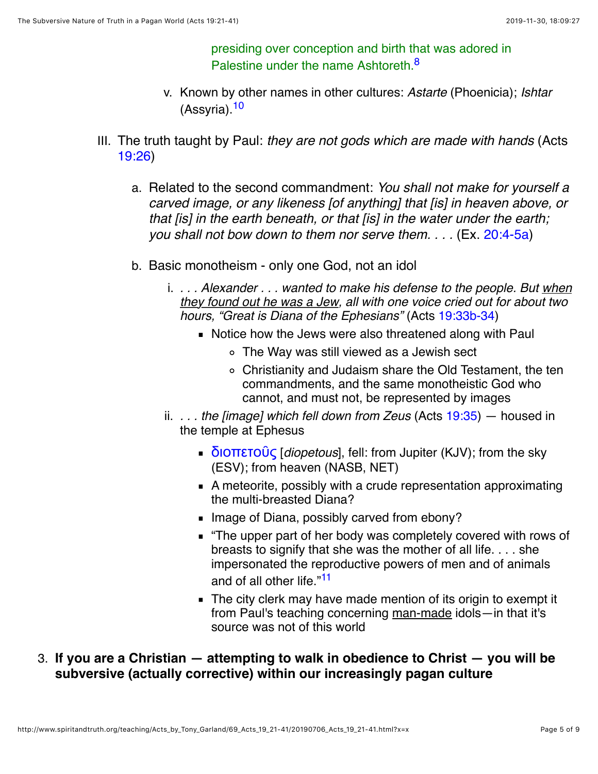<span id="page-4-1"></span><span id="page-4-0"></span>presiding over conception and birth that was adored in Palestine under the name Ashtoreth.<sup>8</sup>

- v. Known by other names in other cultures: *Astarte* (Phoenicia); *Ishtar* (Assyria)[.10](#page-7-7)
- III. The truth taught by Paul: *they are not gods which are made with hands* (Acts [19:26](http://www.spiritandtruth.org/bibles/nasb/b44c019.htm#Acts_C19V26))
	- a. Related to the second commandment: *You shall not make for yourself a carved image, or any likeness [of anything] that [is] in heaven above, or that [is] in the earth beneath, or that [is] in the water under the earth; you shall not bow down to them nor serve them. . . .* (Ex. [20:4-5a\)](http://www.spiritandtruth.org/bibles/nasb/b02c020.htm#Ex._C20V4)
	- b. Basic monotheism only one God, not an idol
		- i. *. . . Alexander . . . wanted to make his defense to the people. But when they found out he was a Jew, all with one voice cried out for about two hours, "Great is Diana of the Ephesians"* (Acts [19:33b-34\)](http://www.spiritandtruth.org/bibles/nasb/b44c019.htm#Acts_C19V33)
			- Notice how the Jews were also threatened along with Paul
				- The Way was still viewed as a Jewish sect
				- Christianity and Judaism share the Old Testament, the ten commandments, and the same monotheistic God who cannot, and must not, be represented by images
		- ii. *. . . the [image] which fell down from Zeus* (Acts [19:35\)](http://www.spiritandtruth.org/bibles/nasb/b44c019.htm#Acts_C19V35) housed in the temple at Ephesus
			- [διοπετοῦς](http://www.spiritandtruth.org/fontsu/index.htm) [*diopetous*], fell: from Jupiter (KJV); from the sky (ESV); from heaven (NASB, NET)
			- A meteorite, possibly with a crude representation approximating the multi-breasted Diana?
			- Image of Diana, possibly carved from ebony?
			- "The upper part of her body was completely covered with rows of breasts to signify that she was the mother of all life. . . . she impersonated the reproductive powers of men and of animals and of all other life."<sup>[11](#page-7-8)</sup>
			- The city clerk may have made mention of its origin to exempt it from Paul's teaching concerning man-made idols—in that it's source was not of this world
- <span id="page-4-2"></span>3. **If you are a Christian — attempting to walk in obedience to Christ — you will be subversive (actually corrective) within our increasingly pagan culture**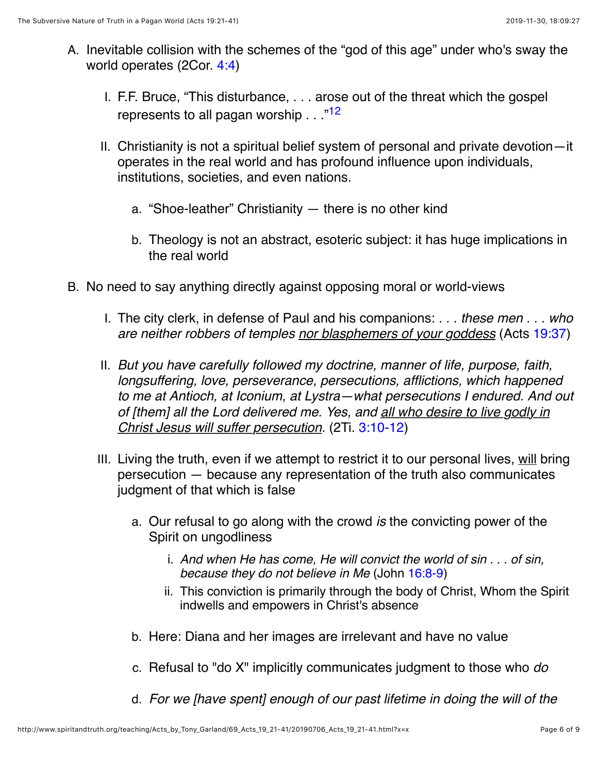- <span id="page-5-0"></span>A. Inevitable collision with the schemes of the "god of this age" under who's sway the world operates (2Cor. [4:4](http://www.spiritandtruth.org/bibles/nasb/b47c004.htm#2Cor._C4V4))
	- I. F.F. Bruce, "This disturbance, . . . arose out of the threat which the gospel represents to all pagan worship . . . <sup>"[12](#page-7-9)</sup>
	- II. Christianity is not a spiritual belief system of personal and private devotion—it operates in the real world and has profound influence upon individuals, institutions, societies, and even nations.
		- a. "Shoe-leather" Christianity there is no other kind
		- b. Theology is not an abstract, esoteric subject: it has huge implications in the real world
- B. No need to say anything directly against opposing moral or world-views
	- I. The city clerk, in defense of Paul and his companions: *. . . these men . . . who are neither robbers of temples nor blasphemers of your goddess* (Acts [19:37](http://www.spiritandtruth.org/bibles/nasb/b44c019.htm#Acts_C19V37))
	- II. *But you have carefully followed my doctrine, manner of life, purpose, faith, longsuffering, love, perseverance, persecutions, afflictions, which happened to me at Antioch, at Iconium, at Lystra—what persecutions I endured. And out of [them] all the Lord delivered me. Yes, and all who desire to live godly in Christ Jesus will suffer persecution.* (2Ti. [3:10-12\)](http://www.spiritandtruth.org/bibles/nasb/b55c003.htm#2Ti._C3V10)
	- III. Living the truth, even if we attempt to restrict it to our personal lives, will bring persecution — because any representation of the truth also communicates judgment of that which is false
		- a. Our refusal to go along with the crowd *is* the convicting power of the Spirit on ungodliness
			- i. *And when He has come, He will convict the world of sin . . . of sin, because they do not believe in Me* (John [16:8-9](http://www.spiritandtruth.org/bibles/nasb/b43c016.htm#John_C16V8))
			- ii. This conviction is primarily through the body of Christ, Whom the Spirit indwells and empowers in Christ's absence
		- b. Here: Diana and her images are irrelevant and have no value
		- c. Refusal to "do X" implicitly communicates judgment to those who *do*
		- d. *For we [have spent] enough of our past lifetime in doing the will of the*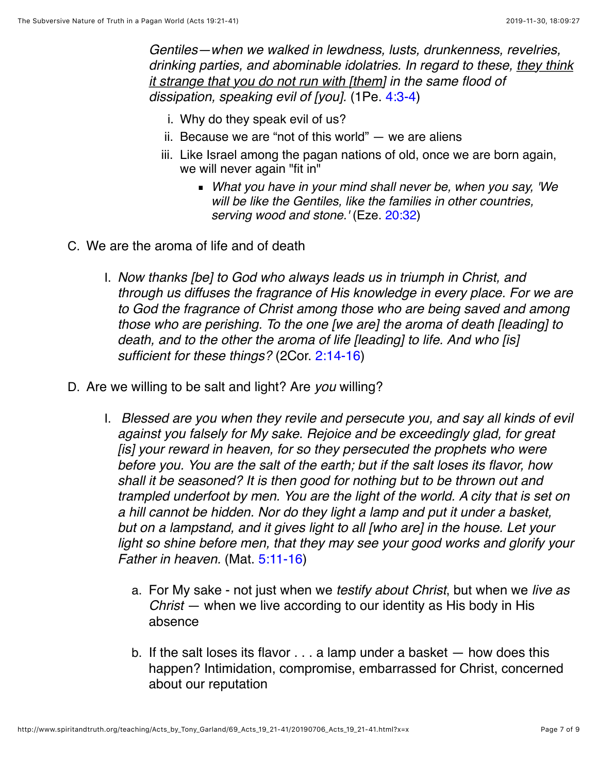*Gentiles—when we walked in lewdness, lusts, drunkenness, revelries, drinking parties, and abominable idolatries. In regard to these, they think it strange that you do not run with [them] in the same flood of dissipation, speaking evil of [you].* (1Pe. [4:3-4](http://www.spiritandtruth.org/bibles/nasb/b60c004.htm#1Pe._C4V3))

- i. Why do they speak evil of us?
- ii. Because we are "not of this world"  $-$  we are aliens
- iii. Like Israel among the pagan nations of old, once we are born again, we will never again "fit in"
	- *What you have in your mind shall never be, when you say, 'We will be like the Gentiles, like the families in other countries, serving wood and stone.'* (Eze. [20:32\)](http://www.spiritandtruth.org/bibles/nasb/b26c020.htm#Eze._C20V32)
- C. We are the aroma of life and of death
	- I. *Now thanks [be] to God who always leads us in triumph in Christ, and through us diffuses the fragrance of His knowledge in every place. For we are to God the fragrance of Christ among those who are being saved and among those who are perishing. To the one [we are] the aroma of death [leading] to death, and to the other the aroma of life [leading] to life. And who [is] sufficient for these things?* (2Cor. [2:14-16](http://www.spiritandtruth.org/bibles/nasb/b47c002.htm#2Cor._C2V14))
- D. Are we willing to be salt and light? Are *you* willing?
	- I. *Blessed are you when they revile and persecute you, and say all kinds of evil against you falsely for My sake. Rejoice and be exceedingly glad, for great [is] your reward in heaven, for so they persecuted the prophets who were before you. You are the salt of the earth; but if the salt loses its flavor, how shall it be seasoned? It is then good for nothing but to be thrown out and trampled underfoot by men. You are the light of the world. A city that is set on a hill cannot be hidden. Nor do they light a lamp and put it under a basket, but on a lampstand, and it gives light to all [who are] in the house. Let your light so shine before men, that they may see your good works and glorify your Father in heaven.* (Mat. [5:11-16\)](http://www.spiritandtruth.org/bibles/nasb/b40c005.htm#Mat._C5V11)
		- a. For My sake not just when we *testify about Christ*, but when we *live as Christ* — when we live according to our identity as His body in His absence
		- b. If the salt loses its flavor . . . a lamp under a basket how does this happen? Intimidation, compromise, embarrassed for Christ, concerned about our reputation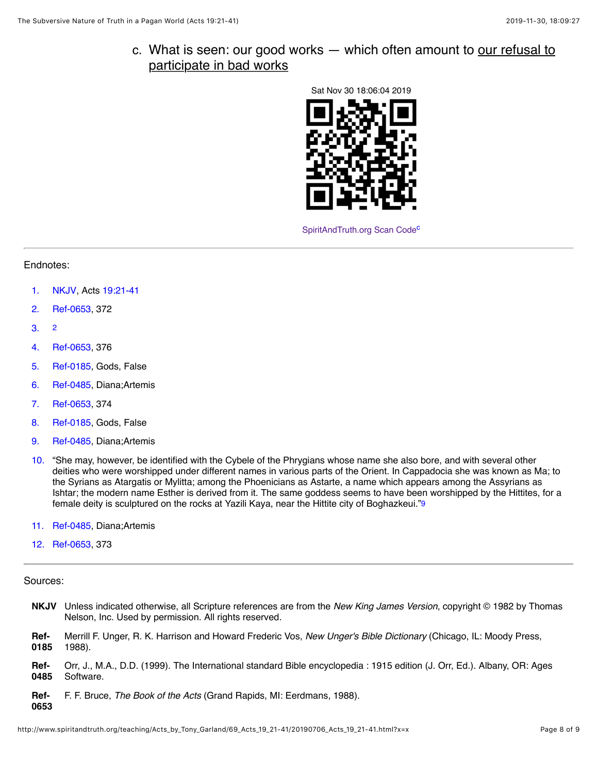c. What is seen: our good works — which often amount to our refusal to participate in bad works



<span id="page-7-18"></span><span id="page-7-16"></span>SpiritAndTruth.org Scan Code<sup>c</sup>

### Endnotes:

- <span id="page-7-0"></span>[1.](#page-1-0) [NKJV](#page-7-10), Acts [19:21-41](http://www.spiritandtruth.org/bibles/nasb/b44c019.htm#Acts_C19V21)
- <span id="page-7-13"></span>[2.](#page-7-11) [Ref-0653](#page-7-12), 372
- <span id="page-7-11"></span><span id="page-7-1"></span>[3.](#page-1-1) [2](#page-7-13)
- <span id="page-7-2"></span>[4.](#page-2-0) [Ref-0653](#page-7-12), 376
- <span id="page-7-3"></span>[5.](#page-3-0) [Ref-0185](#page-7-14), Gods, False
- <span id="page-7-4"></span>[6.](#page-3-1) [Ref-0485](#page-7-15), Diana;Artemis
- <span id="page-7-5"></span>[7.](#page-3-2) [Ref-0653](#page-7-12), 374
- <span id="page-7-6"></span>[8.](#page-4-0) [Ref-0185](#page-7-14), Gods, False
- <span id="page-7-17"></span>[9.](#page-7-16) [Ref-0485](#page-7-15), Diana;Artemis
- <span id="page-7-7"></span>[10.](#page-4-1) "She may, however, be identified with the Cybele of the Phrygians whose name she also bore, and with several other deities who were worshipped under different names in various parts of the Orient. In Cappadocia she was known as Ma; to the Syrians as Atargatis or Mylitta; among the Phoenicians as Astarte, a name which appears among the Assyrians as Ishtar; the modern name Esther is derived from it. The same goddess seems to have been worshipped by the Hittites, for a female deity is sculptured on the rocks at Yazili Kaya, near the Hittite city of Boghazkeui.["9](#page-7-17)
- <span id="page-7-8"></span>[11.](#page-4-2) [Ref-0485](#page-7-15), Diana;Artemis
- <span id="page-7-9"></span>[12.](#page-5-0) [Ref-0653](#page-7-12), 373

#### Sources:

**0653**

- <span id="page-7-14"></span><span id="page-7-10"></span>**NKJV** Unless indicated otherwise, all Scripture references are from the *New King James Version*, copyright © 1982 by Thomas Nelson, Inc. Used by permission. All rights reserved. **Ref-0185** Merrill F. Unger, R. K. Harrison and Howard Frederic Vos, *New Unger's Bible Dictionary* (Chicago, IL: Moody Press, 1988). **Ref-0485** Orr, J., M.A., D.D. (1999). The International standard Bible encyclopedia : 1915 edition (J. Orr, Ed.). Albany, OR: Ages Software.
- <span id="page-7-15"></span><span id="page-7-12"></span>**Ref-**F. F. Bruce, *The Book of the Acts* (Grand Rapids, MI: Eerdmans, 1988).